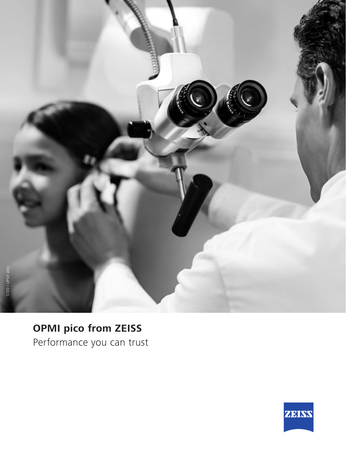

**OPMI pico from ZEISS**  Performance you can trust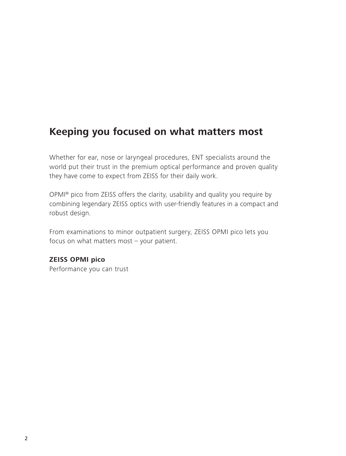# **Keeping you focused on what matters most**

Whether for ear, nose or laryngeal procedures, ENT specialists around the world put their trust in the premium optical performance and proven quality they have come to expect from ZEISS for their daily work.

OPMI® pico from ZEISS offers the clarity, usability and quality you require by combining legendary ZEISS optics with user-friendly features in a compact and robust design.

From examinations to minor outpatient surgery, ZEISS OPMI pico lets you focus on what matters most – your patient.

# **ZEISS OPMI pico**

Performance you can trust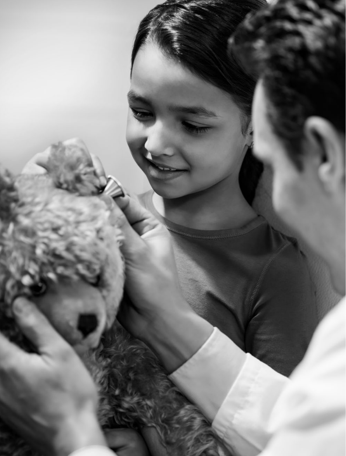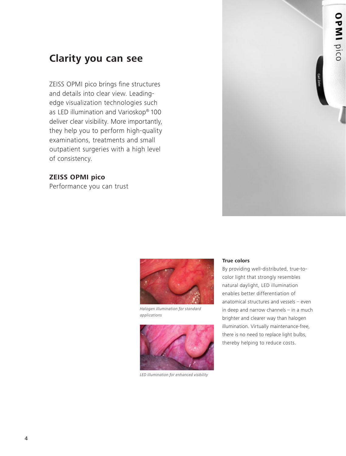

*Halogen illumination for standard applications* 



*LED illumination for enhanced visibility*

### **True colors**

By providing well-distributed, true-tocolor light that strongly resembles natural daylight, LED illumination enables better differentiation of anatomical structures and vessels – even in deep and narrow channels – in a much brighter and clearer way than halogen illumination. Virtually maintenance-free, there is no need to replace light bulbs, thereby helping to reduce costs.

# **Clarity you can see**

ZEISS OPMI pico brings fine structures and details into clear view. Leadingedge visualization technologies such as LED illumination and Varioskop® 100 deliver clear visibility. More importantly, they help you to perform high-quality examinations, treatments and small outpatient surgeries with a high level of consistency.

# **ZEISS OPMI pico**

Performance you can trust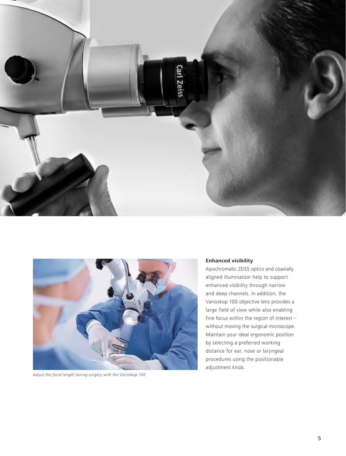



*Adjust the focal length during surgery with the Varioskop 100*

## **Enhanced visibility**

Apochromatic ZEISS optics and coaxially aligned illumination help to support enhanced visibility through narrow and deep channels. In addition, the Varioskop 100 objective lens provides a large field of view while also enabling fine focus within the region of interest – without moving the surgical microscope. Maintain your ideal ergonomic position by selecting a preferred working distance for ear, nose or laryngeal procedures using the positionable adjustment knob.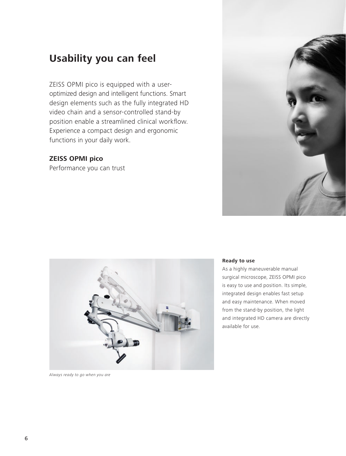# **Usability you can feel**

ZEISS OPMI pico is equipped with a useroptimized design and intelligent functions. Smart design elements such as the fully integrated HD video chain and a sensor-controlled stand-by position enable a streamlined clinical workflow. Experience a compact design and ergonomic functions in your daily work.

# **ZEISS OPMI pico**

Performance you can trust





### **Ready to use**

As a highly maneuverable manual surgical microscope, ZEISS OPMI pico is easy to use and position. Its simple, integrated design enables fast setup and easy maintenance. When moved from the stand-by position, the light and integrated HD camera are directly available for use.

*Always ready to go when you are*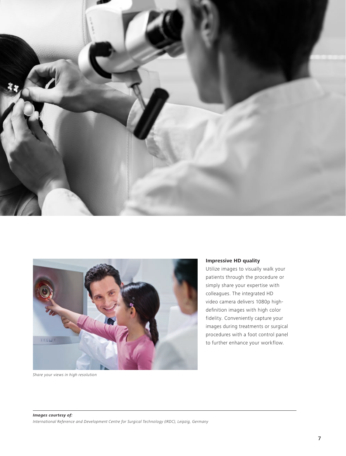



# **Impressive HD quality**

Utilize images to visually walk your patients through the procedure or simply share your expertise with colleagues. The integrated HD video camera delivers 1080p highdefinition images with high color fidelity. Conveniently capture your images during treatments or surgical procedures with a foot control panel to further enhance your workflow.

*Share your views in high resolution*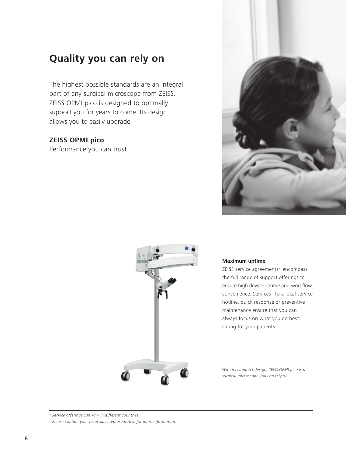# **Quality you can rely on**

The highest possible standards are an integral part of any surgical microscope from ZEISS. ZEISS OPMI pico is designed to optimally support you for years to come. Its design allows you to easily upgrade.

# **ZEISS OPMI pico**

Performance you can trust





### **Maximum uptime**

ZEISS service agreements\* encompass the full range of support offerings to ensure high device uptime and workflow convenience. Services like a local service hotline, quick response or preventive maintenance ensure that you can always focus on what you do best: caring for your patients.

*With its compact design, ZEISS OPMI pico is a surgical microscope you can rely on*

*<sup>\*</sup> Service offerings can vary in different countries. Please contact your local sales representative for more information.*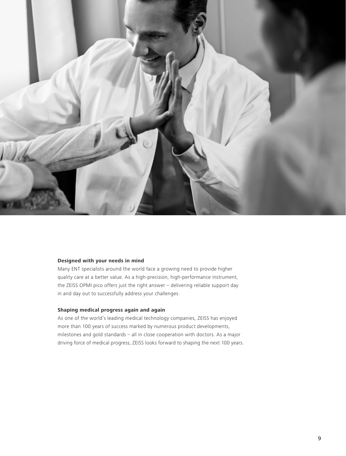

### **Designed with your needs in mind**

Many ENT specialists around the world face a growing need to provide higher quality care at a better value. As a high-precision, high-performance instrument, the ZEISS OPMI pico offers just the right answer – delivering reliable support day in and day out to successfully address your challenges.

# **Shaping medical progress again and again**

As one of the world's leading medical technology companies, ZEISS has enjoyed more than 100 years of success marked by numerous product developments, milestones and gold standards – all in close cooperation with doctors. As a major driving force of medical progress, ZEISS looks forward to shaping the next 100 years.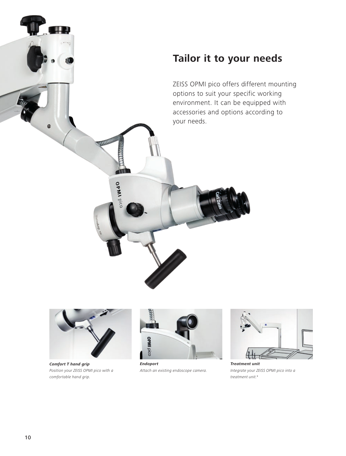



*Comfort T hand grip Position your ZEISS OPMI pico with a comfortable hand grip.*



*Endoport Attach an existing endoscope camera.*



*Treatment unit Integrate your ZEISS OPMI pico into a treatment unit.\**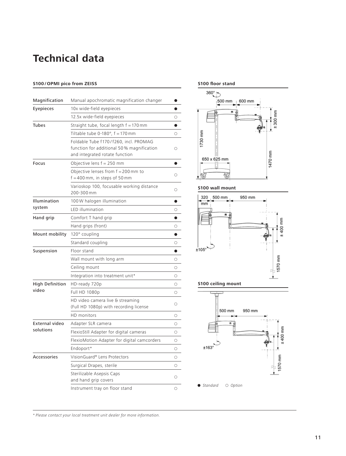# **Technical data**

### **S100 / OPMI pico from ZEISS**

| Magnification                   | Manual apochromatic magnification changer                                                                            |           |
|---------------------------------|----------------------------------------------------------------------------------------------------------------------|-----------|
| <b>Eyepieces</b>                | 10x wide-field eyepieces                                                                                             | Δ         |
|                                 | 12.5x wide-field eyepieces                                                                                           | О         |
| <b>Tubes</b>                    | Straight tube, focal length $f = 170$ mm                                                                             | $\bullet$ |
|                                 | Tiltable tube $0-180^\circ$ , $f = 170$ mm                                                                           | $\circ$   |
|                                 | Foldable Tube f170/f260, incl. PROMAG<br>function for additional 50% magnification<br>and integrated rotate function | О         |
| Focus                           | Objective lens $f = 250$ mm                                                                                          |           |
|                                 | Objective lenses from $f = 200$ mm to<br>$f = 400$ mm, in steps of 50 mm                                             | О         |
|                                 | Varioskop 100, focusable working distance<br>200-300 mm                                                              | $\circ$   |
| <b>Illumination</b><br>system   | 100 W halogen illumination                                                                                           | $\bullet$ |
|                                 | <b>LED illumination</b>                                                                                              | $\circ$   |
| Hand grip                       | Comfort T hand grip                                                                                                  | $\bullet$ |
|                                 | Hand grips (front)                                                                                                   | O         |
| Mount mobility                  | 120° coupling                                                                                                        |           |
|                                 | Standard coupling                                                                                                    | O         |
| Suspension                      | Floor stand                                                                                                          | O         |
|                                 | Wall mount with long arm                                                                                             | $\circ$   |
|                                 | Ceiling mount                                                                                                        | $\circ$   |
|                                 | Integration into treatment unit*                                                                                     | O         |
| <b>High Definition</b><br>video | HD-ready 720p                                                                                                        | O         |
|                                 | Full HD 1080p                                                                                                        | О         |
|                                 | HD video camera live & streaming<br>(Full HD 1080p) with recording license                                           | $\circ$   |
|                                 | <b>HD</b> monitors                                                                                                   | О         |
| External video<br>solutions     | Adapter SLR camera                                                                                                   | О         |
|                                 | FlexioStill Adapter for digital cameras                                                                              | $\circ$   |
|                                 | FlexioMotion Adapter for digital camcorders                                                                          | O         |
|                                 | Endoport*                                                                                                            | $\circ$   |
| Accessories                     | VisionGuard® Lens Protectors                                                                                         | $\circ$   |
|                                 | Surgical Drapes, sterile                                                                                             | O         |
|                                 | Sterilizable Asepsis Caps<br>and hand grip covers                                                                    | $\circ$   |
|                                 | Instrument tray on floor stand                                                                                       | $\circ$   |







*\* Please contact your local treatment unit dealer for more information.*